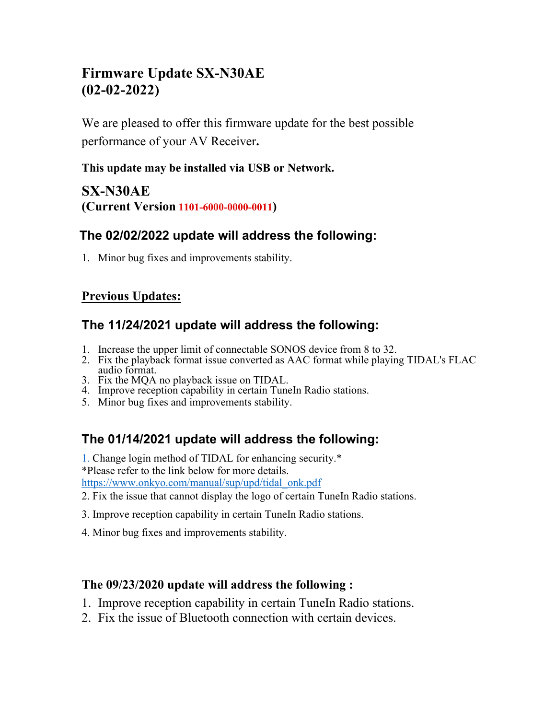# **Firmware Update SX-N30AE (02-02-2022)**

We are pleased to offer this firmware update for the best possible performance of your AV Receiver**.**

### **This update may be installed via USB or Network.**

## **SX-N30AE (Current Version 1101-6000-0000-0011)**

### **The 02/02/2022 update will address the following:**

1. Minor bug fixes and improvements stability.

## **Previous Updates:**

## **The 11/24/2021 update will address the following:**

- 1. Increase the upper limit of connectable SONOS device from 8 to 32.
- 2. Fix the playback format issue converted as AAC format while playing TIDAL's FLAC audio format.
- 3. Fix the MQA no playback issue on TIDAL.
- 4. Improve reception capability in certain TuneIn Radio stations.
- 5. Minor bug fixes and improvements stability.

## **The 01/14/2021 update will address the following:**

1. Change login method of TIDAL for enhancing security.\* \*Please refer to the link below for more details. [https://www.onkyo.com/manual/sup/upd/tidal\\_onk.pdf](https://www.onkyo.com/manual/sup/upd/tidal_onk.pdf)

- 2. Fix the issue that cannot display the logo of certain TuneIn Radio stations.
- 3. Improve reception capability in certain TuneIn Radio stations.
- 4. Minor bug fixes and improvements stability.

### **The 09/23/2020 update will address the following :**

- 1. Improve reception capability in certain TuneIn Radio stations.
- 2. Fix the issue of Bluetooth connection with certain devices.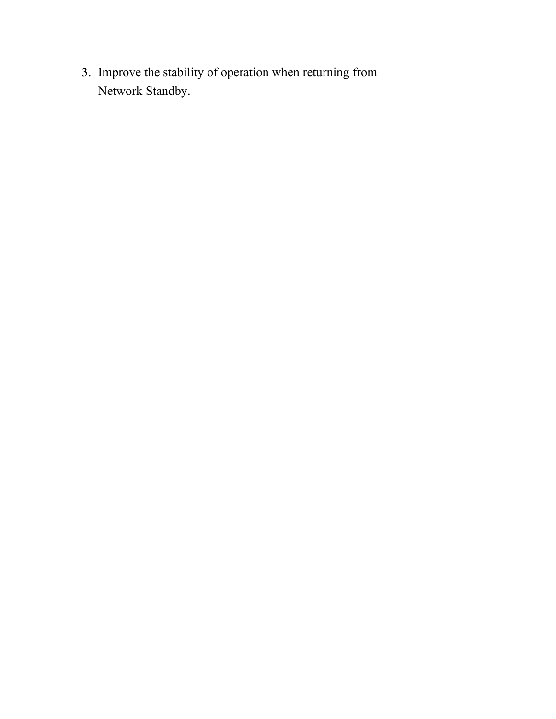3. Improve the stability of operation when returning from Network Standby.